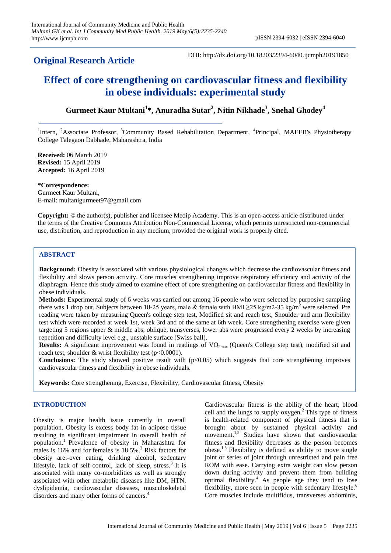# **Original Research Article**

DOI: http://dx.doi.org/10.18203/2394-6040.ijcmph20191850

# **Effect of core strengthening on cardiovascular fitness and flexibility in obese individuals: experimental study**

# **Gurmeet Kaur Multani<sup>1</sup> \*, Anuradha Sutar<sup>2</sup> , Nitin Nikhade<sup>3</sup> , Snehal Ghodey<sup>4</sup>**

<sup>1</sup>Intern, <sup>2</sup>Associate Professor, <sup>3</sup>Community Based Rehabilitation Department, <sup>4</sup>Principal, MAEER's Physiotherapy College Talegaon Dabhade, Maharashtra, India

**Received:** 06 March 2019 **Revised:** 15 April 2019 **Accepted:** 16 April 2019

**\*Correspondence:** Gurmeet Kaur Multani, E-mail: multanigurmeet97@gmail.com

**Copyright:** © the author(s), publisher and licensee Medip Academy. This is an open-access article distributed under the terms of the Creative Commons Attribution Non-Commercial License, which permits unrestricted non-commercial use, distribution, and reproduction in any medium, provided the original work is properly cited.

# **ABSTRACT**

**Background:** Obesity is associated with various physiological changes which decrease the cardiovascular fitness and flexibility and slows person activity. Core muscles strengthening improve respiratory efficiency and activity of the diaphragm. Hence this study aimed to examine effect of core strengthening on cardiovascular fitness and flexibility in obese individuals.

**Methods:** Experimental study of 6 weeks was carried out among 16 people who were selected by purposive sampling there was 1 drop out. Subjects between 18-25 years, male & female with BMI  $\geq$ 25 kg/m<sup>2</sup>-35 kg/m<sup>2</sup> were selected. Pre reading were taken by measuring Queen's college step test, Modified sit and reach test, Shoulder and arm flexibility test which were recorded at week 1st, week 3rd and of the same at 6th week. Core strengthening exercise were given targeting 5 regions upper & middle abs, oblique, transverses, lower abs were progressed every 2 weeks by increasing repetition and difficulty level e.g., unstable surface (Swiss ball).

**Results:** A significant improvement was found in readings of VO<sub>2max</sub> (Queen's College step test), modified sit and reach test, shoulder & wrist flexibility test (p<0.0001).

**Conclusions:** The study showed positive result with (p<0.05) which suggests that core strengthening improves cardiovascular fitness and flexibility in obese individuals.

**Keywords:** Core strengthening, Exercise, Flexibility, Cardiovascular fitness, Obesity

# **INTRODUCTION**

Obesity is major health issue currently in overall population. Obesity is excess body fat in adipose tissue resulting in significant impairment in overall health of population.<sup>1</sup> Prevalence of obesity in Maharashtra for males is 16% and for females is  $18.5\%$ .<sup>2</sup> Risk factors for obesity are:-over eating, drinking alcohol, sedentary lifestyle, lack of self control, lack of sleep, stress.<sup>3</sup> It is associated with many co-morbidities as well as strongly associated with other metabolic diseases like DM, HTN, dyslipidemia, cardiovascular diseases, musculoskeletal disorders and many other forms of cancers.<sup>4</sup>

Cardiovascular fitness is the ability of the heart, blood cell and the lungs to supply  $oxygen.<sup>2</sup>$  This type of fitness is health-related component of physical fitness that is brought about by sustained physical activity and movement.<sup>1,5</sup> Studies have shown that cardiovascular fitness and flexibility decreases as the person becomes obese.<sup>1,5</sup> Flexibility is defined as ability to move single joint or series of joint through unrestricted and pain free ROM with ease. Carrying extra weight can slow person down during activity and prevent them from building optimal flexibility.<sup>4</sup> As people age they tend to lose flexibility, more seen in people with sedentary lifestyle.<sup>6</sup> Core muscles include multifidus, transverses abdominis,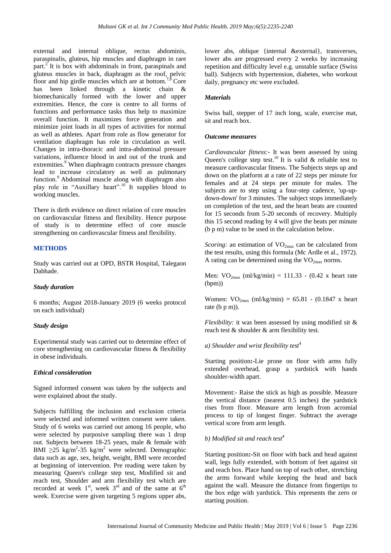external and internal oblique, rectus abdominis, paraspinalis, gluteus, hip muscles and diaphragm in rare part.<sup>2</sup> It is box with abdominals in front, paraspinals and gluteus muscles in back, diaphragm as the roof, pelvic floor and hip girdle muscles which are at bottom.7,8 Core has been linked through a kinetic chain & biomechanically formed with the lower and upper extremities. Hence, the core is centre to all forms of functions and performance tasks thus help to maximize overall function. It maximizes force generation and minimize joint loads in all types of activities for normal as well as athletes. Apart from role as flow generator for ventilation diaphragm has role in circulation as well. Changes in intra-thoracic and intra-abdominal pressure variations, influence blood in and out of the trunk and extremities.<sup>9</sup> When diaphragm contracts pressure changes lead to increase circulatory as well as pulmonary function.<sup>9</sup> Abdominal muscle along with diaphragm also play role in "Auxillary heart".<sup>10</sup> It supplies blood to working muscles.

There is dirth evidence on direct relation of core muscles on cardiovascular fitness and flexibility. Hence purpose of study is to determine effect of core muscle strengthening on cardiovascular fitness and flexibility.

## **METHODS**

Study was carried out at OPD, BSTR Hospital, Talegaon Dabhade.

#### *Study duration*

6 months; August 2018-January 2019 (6 weeks protocol on each individual)

#### *Study design*

Experimental study was carried out to determine effect of core strengthening on cardiovascular fitness & flexibility in obese individuals.

# *Ethical consideration*

Signed informed consent was taken by the subjects and were explained about the study.

Subjects fulfilling the inclusion and exclusion criteria were selected and informed written consent were taken. Study of 6 weeks was carried out among 16 people, who were selected by purposive sampling there was 1 drop out. Subjects between 18-25 years, male & female with BMI  $\geq$ 25 kg/m<sup>2</sup>-35 kg/m<sup>2</sup> were selected. Demographic data such as age, sex, height, weight, BMI were recorded at beginning of intervention. Pre reading were taken by measuring Queen's college step test, Modified sit and reach test, Shoulder and arm flexibility test which are recorded at week  $1<sup>st</sup>$ , week  $3<sup>rd</sup>$  and of the same at  $6<sup>th</sup>$ week. Exercise were given targeting 5 regions upper abs, lower abs, oblique {internal &external}, transverses, lower abs are progressed every 2 weeks by increasing repetition and difficulty level e.g. unstable surface (Swiss ball). Subjects with hypertension, diabetes, who workout daily, pregnancy etc were excluded.

## *Materials*

Swiss ball, stepper of 17 inch long, scale, exercise mat, sit and reach box.

#### *Outcome measures*

*Cardiovascular fitness:-* It was been assessed by using Queen's college step test.<sup>10</sup> It is valid & reliable test to measure cardiovascular fitness. The Subjects steps up and down on the platform at a rate of 22 steps per minute for females and at 24 steps per minute for males. The subjects are to step using a four-step cadence, 'up-updown-down' for 3 minutes. The subject stops immediately on completion of the test, and the heart beats are counted for 15 seconds from 5-20 seconds of recovery. Multiply this 15 second reading by 4 will give the beats per minute (b p m) value to be used in the calculation below.

*Scoring:* an estimation of  $VO_{2max}$  can be calculated from the test results, using this formula (Mc Ardle et al., 1972). A rating can be determined using the  $VO<sub>2max</sub>$  norms.

Men:  $VO_{2max}$  (ml/kg/min) = 111.33 - (0.42 x heart rate (bpm))

Women:  $VO<sub>2max</sub>$  (ml/kg/min) = 65.81 - (0.1847 x heart rate (b p m)).

*Flexibility:* it was been assessed by using modified sit & reach test & shoulder & arm flexibility test.

#### *a) Shoulder and wrist flexibility test*<sup>4</sup>

Starting position**:-**Lie prone on floor with arms fully extended overhead, grasp a yardstick with hands shoulder-width apart.

Movement:- Raise the stick as high as possible. Measure the vertical distance (nearest 0.5 inches) the yardstick rises from floor. Measure arm length from acromial process to tip of longest finger. Subtract the average vertical score from arm length.

# *b) Modified sit and reach test*<sup>4</sup>

Starting position**:-**Sit on floor with back and head against wall, legs fully extended, with bottom of feet against sit and reach box. Place hand on top of each other, stretching the arms forward while keeping the head and back against the wall. Measure the distance from fingertips to the box edge with yardstick. This represents the zero or starting position.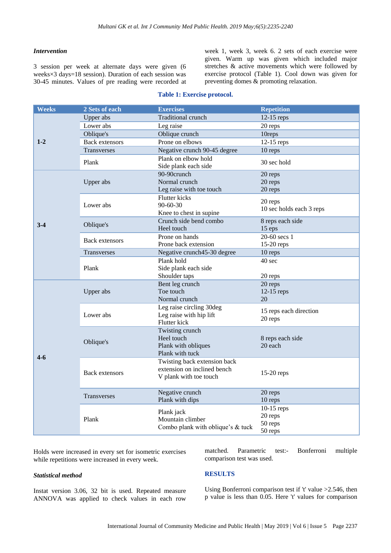#### *Intervention*

3 session per week at alternate days were given (6 weeks×3 days=18 session). Duration of each session was 30-45 minutes. Values of pre reading were recorded at week 1, week 3, week 6. 2 sets of each exercise were given. Warm up was given which included major stretches & active movements which were followed by exercise protocol (Table 1). Cool down was given for preventing domes & promoting relaxation.

| Weeks | 2 Sets of each         | <b>Exercises</b>                                            | <b>Repetition</b>                   |
|-------|------------------------|-------------------------------------------------------------|-------------------------------------|
| $1-2$ | Upper abs              | Traditional crunch                                          | $12-15$ reps                        |
|       | Lower abs              | Leg raise                                                   | 20 reps                             |
|       | Oblique's              | Oblique crunch                                              | 10reps                              |
|       | <b>Back extensors</b>  | Prone on elbows                                             | $12-15$ reps                        |
|       | Transverses            | Negative crunch 90-45 degree                                | 10 reps                             |
|       | Plank                  | Plank on elbow hold                                         | 30 sec hold                         |
|       |                        | Side plank each side                                        |                                     |
| $3-4$ | Upper abs              | 90-90crunch                                                 | 20 reps                             |
|       |                        | Normal crunch                                               | 20 reps                             |
|       |                        | Leg raise with toe touch                                    | 20 reps                             |
|       | Lower abs<br>Oblique's | Flutter kicks                                               | 20 reps<br>10 sec holds each 3 reps |
|       |                        | 90-60-30                                                    |                                     |
|       |                        | Knee to chest in supine                                     |                                     |
|       |                        | Crunch side bend combo<br>Heel touch                        | 8 reps each side<br>$15$ eps        |
|       | <b>Back extensors</b>  | Prone on hands                                              | 20-60 secs 1                        |
|       |                        | Prone back extension                                        | $15-20$ reps                        |
|       | <b>Transverses</b>     | Negative crunch45-30 degree                                 | 10 reps                             |
|       |                        | Plank hold                                                  | 40 sec                              |
|       | Plank                  | Side plank each side                                        |                                     |
|       |                        | Shoulder taps                                               | 20 reps                             |
|       | Upper abs              | Bent leg crunch                                             | 20 reps                             |
|       |                        | Toe touch                                                   | 12-15 reps                          |
|       |                        | Normal crunch                                               | 20                                  |
| $4-6$ | Lower abs              | Leg raise circling 30deg                                    | 15 reps each direction              |
|       |                        | Leg raise with hip lift                                     | 20 reps                             |
|       |                        | Flutter kick                                                |                                     |
|       | Oblique's              | Twisting crunch                                             |                                     |
|       |                        | Heel touch                                                  | 8 reps each side                    |
|       |                        | Plank with obliques                                         | 20 each                             |
|       |                        | Plank with tuck                                             |                                     |
|       | Back extensors         | Twisting back extension back<br>extension on inclined bench | $15-20$ reps                        |
|       |                        | V plank with toe touch                                      |                                     |
|       |                        |                                                             |                                     |
|       | <b>Transverses</b>     | Negative crunch                                             | 20 reps                             |
|       |                        | Plank with dips                                             | 10 reps                             |
|       | Plank                  |                                                             | $10-15$ reps                        |
|       |                        | Plank jack<br>Mountain climber                              | 20 reps                             |
|       |                        | Combo plank with oblique's & tuck                           | 50 reps                             |
|       |                        |                                                             | 50 reps                             |

#### **Table 1: Exercise protocol.**

Holds were increased in every set for isometric exercises while repetitions were increased in every week.

#### *Statistical method*

Instat version 3.06, 32 bit is used. Repeated measure ANNOVA was applied to check values in each row matched. Parametric test:- Bonferroni multiple comparison test was used.

#### **RESULTS**

Using Bonferroni comparison test if 't' value >2.546, then p value is less than 0.05. Here 't' values for comparison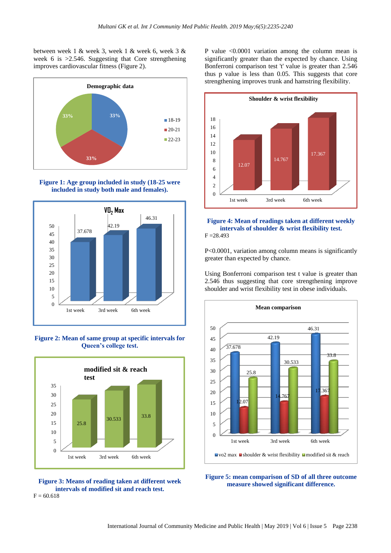between week 1 & week 3, week 1 & week 6, week 3 & week 6 is >2.546. Suggesting that Core strengthening improves cardiovascular fitness (Figure 2).







**Figure 2: Mean of same group at specific intervals for Queen's college test.**



**Figure 3: Means of reading taken at different week intervals of modified sit and reach test.**  $F = 60.618$ 

P value <0.0001 variation among the column mean is significantly greater than the expected by chance. Using Bonferroni comparison test 't' value is greater than 2.546 thus p value is less than 0.05. This suggests that core strengthening improves trunk and hamstring flexibility.



#### **Figure 4: Mean of readings taken at different weekly intervals of shoulder & wrist flexibility test.**  $F = 28.493$

P<0.0001, variation among column means is significantly greater than expected by chance.

Using Bonferroni comparison test t value is greater than 2.546 thus suggesting that core strengthening improve shoulder and wrist flexibility test in obese individuals.



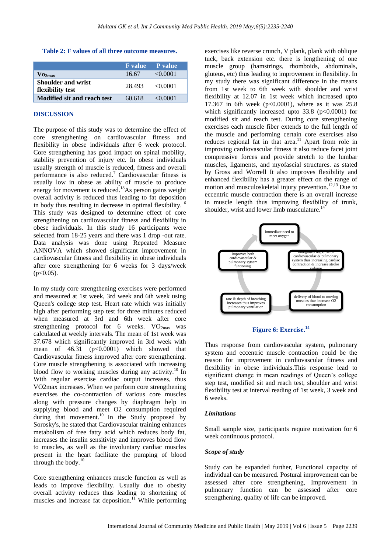#### **Table 2: F values of all three outcome measures.**

|                                               |        | <b>F</b> value P value |
|-----------------------------------------------|--------|------------------------|
| $\sqrt{0_{2max}}$                             | 16.67  | $\leq 0.0001$          |
| <b>Shoulder and wrist</b><br>flexibility test | 28.493 | $\leq 0.0001$          |
| Modified sit and reach test                   | 60.618 | $\leq 0.0001$          |

# **DISCUSSION**

The purpose of this study was to determine the effect of core strengthening on cardiovascular fitness and flexibility in obese individuals after 6 week protocol. Core strengthening has good impact on spinal mobility, stability prevention of injury etc. In obese individuals usually strength of muscle is reduced, fitness and overall performance is also reduced.<sup>7</sup> Cardiovascular fitness is usually low in obese as ability of muscle to produce energy for movement is reduced.<sup>18</sup>As person gains weight overall activity is reduced thus leading to fat deposition in body thus resulting in decrease in optimal flexibility. <sup>6</sup> This study was designed to determine effect of core strengthening on cardiovascular fitness and flexibility in obese individuals. In this study 16 participants were selected from 18-25 years and there was 1 drop -out rate. Data analysis was done using Repeated Measure ANNOVA which showed significant improvement in cardiovascular fitness and flexibility in obese individuals after core strengthening for 6 weeks for 3 days/week  $(p<0.05)$ .

In my study core strengthening exercises were performed and measured at 1st week, 3rd week and 6th week using Queen's college step test. Heart rate which was initially high after performing step test for three minutes reduced when measured at 3rd and 6th week after core strengthening protocol for 6 weeks.  $VO_{2max}$  was calculated at weekly intervals. The mean of 1st week was 37.678 which significantly improved in 3rd week with mean of  $46.31$  ( $p<0.0001$ ) which showed that Cardiovascular fitness improved after core strengthening. Core muscle strengthening is associated with increasing blood flow to working muscles during any activity.<sup>10</sup> In With regular exercise cardiac output increases, thus VO2max increases. When we perform core strengthening exercises the co-contraction of various core muscles along with pressure changes by diaphragm help in supplying blood and meet O2 consumption required during that movement.<sup>10</sup> In the Study proposed by Sorosky's, he stated that Cardiovascular training enhances metabolism of free fatty acid which reduces body fat, increases the insulin sensitivity and improves blood flow to muscles, as well as the involuntary cardiac muscles present in the heart facilitate the pumping of blood through the body. $10$ 

Core strengthening enhances muscle function as well as leads to improve flexibility. Usually due to obesity overall activity reduces thus leading to shortening of muscles and increase fat deposition.<sup>11</sup> While performing exercises like reverse crunch, V plank, plank with oblique tuck, back extension etc. there is lengthening of one muscle group (hamstrings, rhomboids, abdominals, gluteus, etc) thus leading to improvement in flexibility. In my study there was significant difference in the means from 1st week to 6th week with shoulder and wrist flexibility at 12.07 in 1st week which increased upto 17.367 in 6th week (p<0.0001), where as it was  $25.8$ which significantly increased upto  $33.8$  ( $p<0.0001$ ) for modified sit and reach test. During core strengthening exercises each muscle fiber extends to the full length of the muscle and performing certain core exercises also reduces regional fat in that area.<sup>11</sup> Apart from role in improving cardiovascular fitness it also reduce facet joint compressive forces and provide stretch to the lumbar muscles, ligaments, and myofascial structures. as stated by Gross and Worrell It also improves flexibility and enhanced flexibility has a greater effect on the range of motion and musculoskeletal injury prevention.<sup>12,13</sup> Due to eccentric muscle contraction there is an overall increase in muscle length thus improving flexibility of trunk, shoulder, wrist and lower limb musculature.<sup>14</sup>



**Figure 6: Exercise.<sup>14</sup>**

Thus response from cardiovascular system, pulmonary system and eccentric muscle contraction could be the reason for improvement in cardiovascular fitness and flexibility in obese individuals.This response lead to significant change in mean readings of Queen's college step test, modified sit and reach test, shoulder and wrist flexibility test at interval reading of 1st week, 3 week and 6 weeks.

#### *Limitations*

Small sample size, participants require motivation for 6 week continuous protocol.

#### *Scope of study*

Study can be expanded further, Functional capacity of individual can be measured. Postural improvement can be assessed after core strengthening, Improvement in pulmonary function can be assessed after core strengthening, quality of life can be improved.